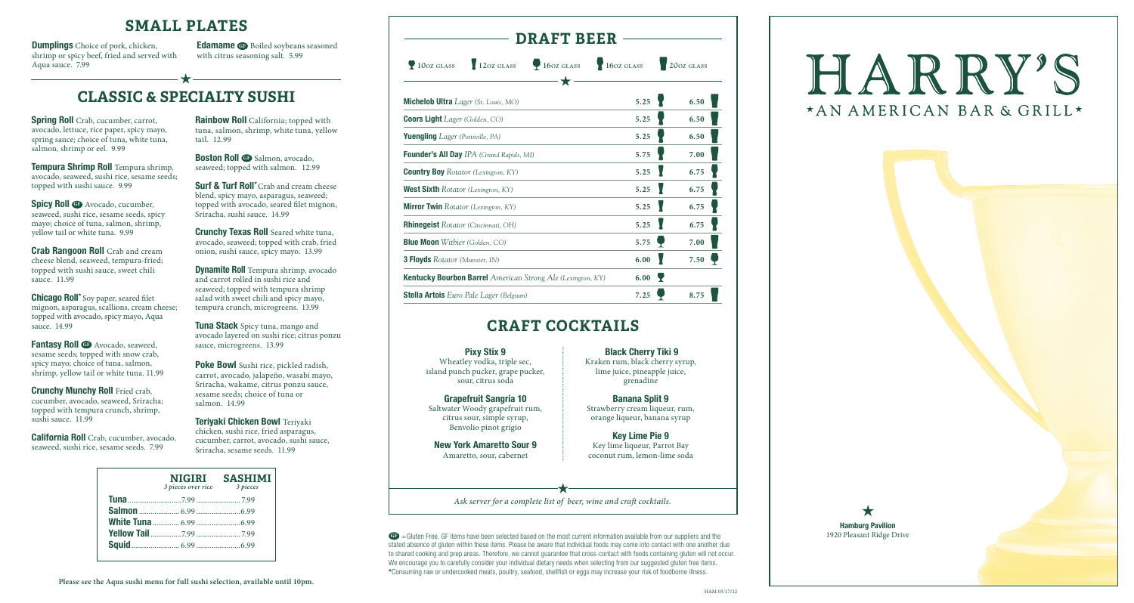

### **SMALL PLATES**

**Spicy Roll <b>GB** Avocado, cucumber, seaweed, sushi rice, sesame seeds, spicy mayo; choice of tuna, salmon, shrimp, yellow tail or white tuna. 9.99

**Tempura Shrimp Roll** Tempura shrimp, avocado, seaweed, sushi rice, sesame seeds; topped with sushi sauce. 9.99

**Fantasy Roll <sup>G</sup>** Avocado, seaweed, sesame seeds; topped with snow crab, spicy mayo; choice of tuna, salmon, shrimp, yellow tail or white tuna. 11.99

**Crunchy Munchy Roll** Fried crab, cucumber, avocado, seaweed, Sriracha; topped with tempura crunch, shrimp, sushi sauce. 11.99

**Crab Rangoon Roll** Crab and cream cheese blend, seaweed, tempura-fried; topped with sushi sauce, sweet chili sauce. 11.99

**Boston Roll <b>G** Salmon, avocado, seaweed; topped with salmon.12.99

**Chicago Roll\*** Soy paper, seared filet mignon, asparagus, scallions, cream cheese; topped with avocado, spicy mayo, Aqua sauce. 14.99

**Surf & Turf Roll\*** Crab and cream cheese blend, spicy mayo, asparagus, seaweed; topped with avocado, seared filet mignon, Sriracha, sushi sauce. 14.99

**Crunchy Texas Roll** Seared white tuna, avocado, seaweed; topped with crab, fried onion, sushi sauce, spicy mayo. 13.99

**California Roll** Crab, cucumber, avocado, seaweed, sushi rice, sesame seeds. 7.99

**Rainbow Roll** California; topped with tuna, salmon, shrimp, white tuna, yellow tail. 12.99

**Edamame <b>GF** Boiled soybeans seasoned with citrus seasoning salt. 5.99

> GF = Gluten Free. GF items have been selected based on the most current information available from our suppliers and the stated absence of gluten within these items. Please be aware that individual foods may come into contact with one another due to shared cooking and prep areas. Therefore, we cannot guarantee that cross-contact with foods containing gluten will not occur. We encourage you to carefully consider your individual dietary needs when selecting from our suggested gluten free items. **\***Consuming raw or undercooked meats, poultry, seafood, shellfish or eggs may increase your risk of foodborne illness.

**Dynamite Roll** Tempura shrimp, avocado and carrot rolled in sushi rice and seaweed; topped with tempura shrimp salad with sweet chili and spicy mayo, tempura crunch, microgreens. 13.99

**Tuna Stack** Spicy tuna, mango and avocado layered on sushi rice; citrus ponzu sauce, microgreens. 13.99

**Poke Bowl** Sushi rice, pickled radish, carrot, avocado, jalapeño, wasabi mayo, Sriracha, wakame, citrus ponzu sauce, sesame seeds; choice of tuna or salmon. 14.99

**Teriyaki Chicken Bowl** Teriyaki chicken, sushi rice, fried asparagus, cucumber, carrot, avocado, sushi sauce, Sriracha, sesame seeds. 11.99

# **CLASSIC & SPECIALTY SUSHI**

**Spring Roll** Crab, cucumber, carrot, avocado, lettuce, rice paper, spicy mayo, spring sauce; choice of tuna, white tuna, salmon, shrimp or eel. 9.99

**Dumplings** Choice of pork, chicken, shrimp or spicy beef, fried and served with Aqua sauce. 7.99

 **10oz glass 12oz glass 16oz glass 16oz glass 20oz glass**

**DRAFT BEER**

*Ask server for a complete list of beer, wine and craft cocktails.*

# HARRY'S \*AN AMERICAN BAR & GRILL\*

**Michelob Ultra** *Lager (St. Louis, MO)* **5.25 6.50**

**Coors Light** *Lager* (Golden, CO) **5.25 6.50 6.50** 

| <b>Yuengling</b> <i>Lager</i> (Pottsville, PA)                     | 5.25 | 6.50 |
|--------------------------------------------------------------------|------|------|
| <b>Founder's All Day IPA</b> (Grand Rapids, MI)                    | 5.75 | 7.00 |
| <b>Country Boy</b> Rotator (Lexington, KY)                         | 5.25 | 6.75 |
| <b>West Sixth</b> Rotator (Lexington, KY)                          | 5.25 | 6.75 |
| <b>Mirror Twin</b> Rotator (Lexington, KY)                         | 5.25 | 6.75 |
| <b>Rhinegeist</b> Rotator (Cincinnati, OH)                         | 5.25 | 6.75 |
| <b>Blue Moon</b> Witbier (Golden, CO)                              | 5.75 | 7.00 |
| <b>3 Floyds</b> Rotator (Munster, IN)                              | 6.00 | 7.50 |
| <b>Kentucky Bourbon Barrel American Strong Ale (Lexington, KY)</b> | 6.00 |      |
| <b>Stella Artois</b> Euro Pale Lager (Belgium)                     | 7.25 | 8.75 |
|                                                                    |      |      |

| NIGIRI<br>3 pieces over rice | <b>SASHIMI</b><br>3 pieces |
|------------------------------|----------------------------|
|                              |                            |
|                              |                            |
|                              |                            |
|                              |                            |
|                              |                            |
|                              |                            |

# **CRAFT COCKTAILS**

#### **Pixy Stix 9**

Wheatley vodka, triple sec, island punch pucker, grape pucker, sour, citrus soda

**Grapefruit Sangria 10** Saltwater Woody grapefruit rum, citrus sour, simple syrup, Benvolio pinot grigio

**New York Amaretto Sour 9** Amaretto, sour, cabernet

**Black Cherry Tiki 9**

Kraken rum, black cherry syrup, lime juice, pineapple juice, grenadine

**Banana Split 9** Strawberry cream liqueur, rum, orange liqueur, banana syrup

**Key Lime Pie 9** Key lime liqueur, Parrot Bay coconut rum, lemon-lime soda